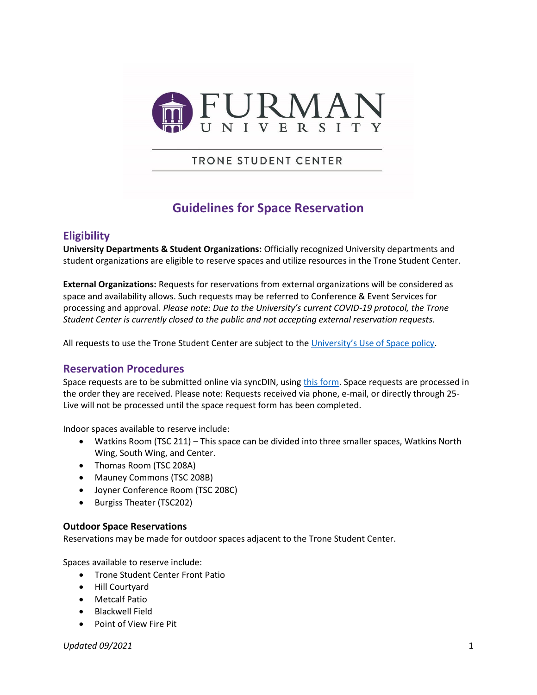

**TRONE STUDENT CENTER** 

# **Guidelines for Space Reservation**

## **Eligibility**

**University Departments & Student Organizations:** Officially recognized University departments and student organizations are eligible to reserve spaces and utilize resources in the Trone Student Center.

**External Organizations:** Requests for reservations from external organizations will be considered as space and availability allows. Such requests may be referred to Conference & Event Services for processing and approval. *Please note: Due to the University's current COVID-19 protocol, the Trone Student Center is currently closed to the public and not accepting external reservation requests.*

All requests to use the Trone Student Center are subject to the [University's Use of Space policy](https://catalog.furman.edu/content.php?catoid=17&navoid=838#space).

## **Reservation Procedures**

Space requests are to be submitted online via syncDIN, using [this form.](https://furman.campuslabs.com/engage/submitter/form/start/473404) Space requests are processed in the order they are received. Please note: Requests received via phone, e-mail, or directly through 25- Live will not be processed until the space request form has been completed.

Indoor spaces available to reserve include:

- Watkins Room (TSC 211) This space can be divided into three smaller spaces, Watkins North Wing, South Wing, and Center.
- Thomas Room (TSC 208A)
- Mauney Commons (TSC 208B)
- Joyner Conference Room (TSC 208C)
- Burgiss Theater (TSC202)

#### **Outdoor Space Reservations**

Reservations may be made for outdoor spaces adjacent to the Trone Student Center.

Spaces available to reserve include:

- Trone Student Center Front Patio
- Hill Courtyard
- Metcalf Patio
- Blackwell Field
- Point of View Fire Pit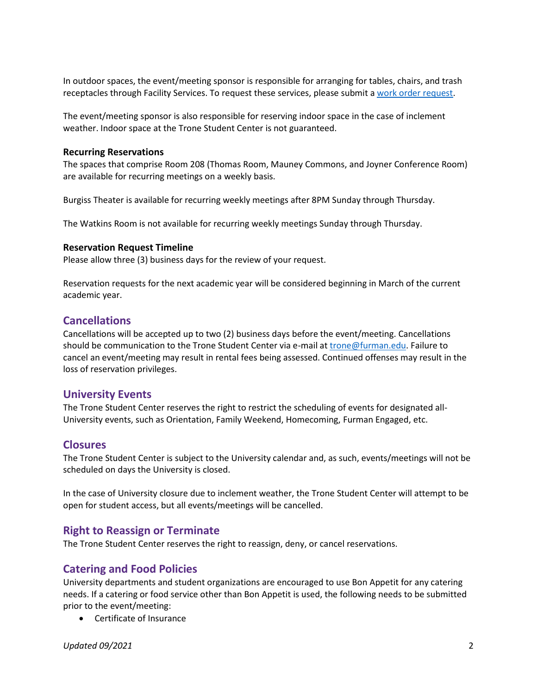In outdoor spaces, the event/meeting sponsor is responsible for arranging for tables, chairs, and trash receptacles through Facility Services. To request these services, please submit a [work order request.](https://assetessentials.dudesolutions.com/FurmanUniversity/MyRequest/Add)

The event/meeting sponsor is also responsible for reserving indoor space in the case of inclement weather. Indoor space at the Trone Student Center is not guaranteed.

#### **Recurring Reservations**

The spaces that comprise Room 208 (Thomas Room, Mauney Commons, and Joyner Conference Room) are available for recurring meetings on a weekly basis.

Burgiss Theater is available for recurring weekly meetings after 8PM Sunday through Thursday.

The Watkins Room is not available for recurring weekly meetings Sunday through Thursday.

#### **Reservation Request Timeline**

Please allow three (3) business days for the review of your request.

Reservation requests for the next academic year will be considered beginning in March of the current academic year.

#### **Cancellations**

Cancellations will be accepted up to two (2) business days before the event/meeting. Cancellations should be communication to the Trone Student Center via e-mail at [trone@furman.edu.](mailto:trone@furman.edu) Failure to cancel an event/meeting may result in rental fees being assessed. Continued offenses may result in the loss of reservation privileges.

## **University Events**

The Trone Student Center reserves the right to restrict the scheduling of events for designated all-University events, such as Orientation, Family Weekend, Homecoming, Furman Engaged, etc.

#### **Closures**

The Trone Student Center is subject to the University calendar and, as such, events/meetings will not be scheduled on days the University is closed.

In the case of University closure due to inclement weather, the Trone Student Center will attempt to be open for student access, but all events/meetings will be cancelled.

#### **Right to Reassign or Terminate**

The Trone Student Center reserves the right to reassign, deny, or cancel reservations.

#### **Catering and Food Policies**

University departments and student organizations are encouraged to use Bon Appetit for any catering needs. If a catering or food service other than Bon Appetit is used, the following needs to be submitted prior to the event/meeting:

Certificate of Insurance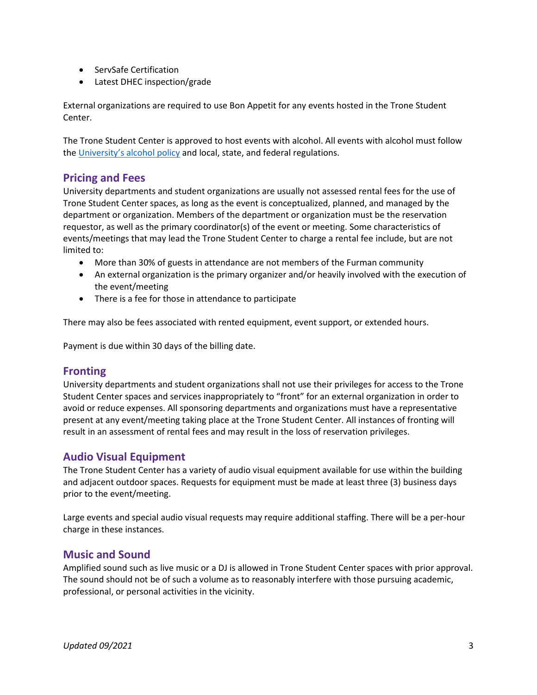- ServSafe Certification
- Latest DHEC inspection/grade

External organizations are required to use Bon Appetit for any events hosted in the Trone Student Center.

The Trone Student Center is approved to host events with alcohol. All events with alcohol must follow the [University's alcohol policy](https://catalog.furman.edu/content.php?catoid=17&navoid=838#alcohol) and local, state, and federal regulations.

#### **Pricing and Fees**

University departments and student organizations are usually not assessed rental fees for the use of Trone Student Center spaces, as long as the event is conceptualized, planned, and managed by the department or organization. Members of the department or organization must be the reservation requestor, as well as the primary coordinator(s) of the event or meeting. Some characteristics of events/meetings that may lead the Trone Student Center to charge a rental fee include, but are not limited to:

- More than 30% of guests in attendance are not members of the Furman community
- An external organization is the primary organizer and/or heavily involved with the execution of the event/meeting
- There is a fee for those in attendance to participate

There may also be fees associated with rented equipment, event support, or extended hours.

Payment is due within 30 days of the billing date.

#### **Fronting**

University departments and student organizations shall not use their privileges for access to the Trone Student Center spaces and services inappropriately to "front" for an external organization in order to avoid or reduce expenses. All sponsoring departments and organizations must have a representative present at any event/meeting taking place at the Trone Student Center. All instances of fronting will result in an assessment of rental fees and may result in the loss of reservation privileges.

## **Audio Visual Equipment**

The Trone Student Center has a variety of audio visual equipment available for use within the building and adjacent outdoor spaces. Requests for equipment must be made at least three (3) business days prior to the event/meeting.

Large events and special audio visual requests may require additional staffing. There will be a per-hour charge in these instances.

#### **Music and Sound**

Amplified sound such as live music or a DJ is allowed in Trone Student Center spaces with prior approval. The sound should not be of such a volume as to reasonably interfere with those pursuing academic, professional, or personal activities in the vicinity.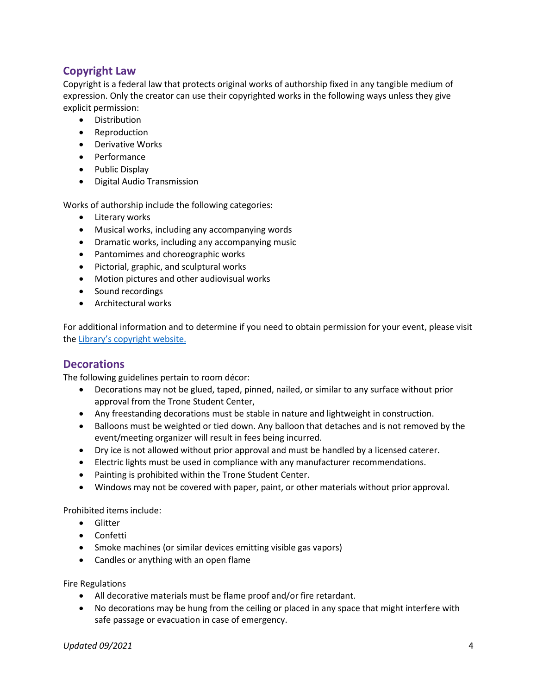## **Copyright Law**

Copyright is a federal law that protects original works of authorship fixed in any tangible medium of expression. Only the creator can use their copyrighted works in the following ways unless they give explicit permission:

- **•** Distribution
- Reproduction
- Derivative Works
- Performance
- Public Display
- Digital Audio Transmission

Works of authorship include the following categories:

- Literary works
- Musical works, including any accompanying words
- Dramatic works, including any accompanying music
- Pantomimes and choreographic works
- Pictorial, graphic, and sculptural works
- Motion pictures and other audiovisual works
- Sound recordings
- Architectural works

For additional information and to determine if you need to obtain permission for your event, please visit the [Library's copyright website.](https://libguides.furman.edu/copyright/home)

#### **Decorations**

The following guidelines pertain to room décor:

- Decorations may not be glued, taped, pinned, nailed, or similar to any surface without prior approval from the Trone Student Center,
- Any freestanding decorations must be stable in nature and lightweight in construction.
- Balloons must be weighted or tied down. Any balloon that detaches and is not removed by the event/meeting organizer will result in fees being incurred.
- Dry ice is not allowed without prior approval and must be handled by a licensed caterer.
- Electric lights must be used in compliance with any manufacturer recommendations.
- Painting is prohibited within the Trone Student Center.
- Windows may not be covered with paper, paint, or other materials without prior approval.

Prohibited items include:

- **•** Glitter
- Confetti
- Smoke machines (or similar devices emitting visible gas vapors)
- Candles or anything with an open flame

Fire Regulations

- All decorative materials must be flame proof and/or fire retardant.
- No decorations may be hung from the ceiling or placed in any space that might interfere with safe passage or evacuation in case of emergency.